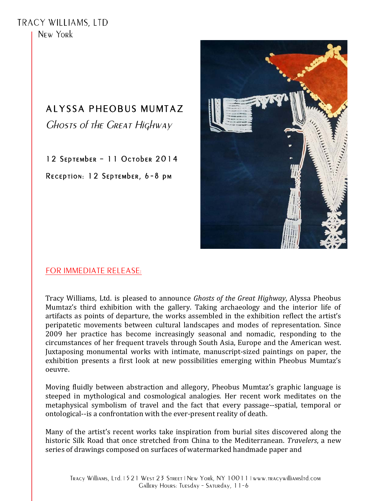TRACY WILLIAMS, LTD New York

## **ALYSSA PHEOBUS MUMTAZ**

**CHOSTS OF THE CREAT HIGHWAY** 

12 SEPTEMbER - 11 OCTObER 2014

RECEPTION: 12 SEPTEMbER, 6-8 PM



## FOR IMMEDIATE RELEASE:

Tracy Williams, Ltd. is pleased to announce *Ghosts of the Great Highway*, Alyssa Pheobus Mumtaz's third exhibition with the gallery. Taking archaeology and the interior life of artifacts as points of departure, the works assembled in the exhibition reflect the artist's peripatetic movements between cultural landscapes and modes of representation. Since 2009 her practice has become increasingly seasonal and nomadic, responding to the circumstances of her frequent travels through South Asia, Europe and the American west. Juxtaposing monumental works with intimate, manuscript-sized paintings on paper, the exhibition presents a first look at new possibilities emerging within Pheobus Mumtaz's oeuvre.

Moving fluidly between abstraction and allegory, Pheobus Mumtaz's graphic language is steeped in mythological and cosmological analogies. Her recent work meditates on the metaphysical symbolism of travel and the fact that every passage--spatial, temporal or ontological--is a confrontation with the ever-present reality of death.

Many of the artist's recent works take inspiration from burial sites discovered along the historic Silk Road that once stretched from China to the Mediterranean. Travelers, a new series of drawings composed on surfaces of watermarked handmade paper and